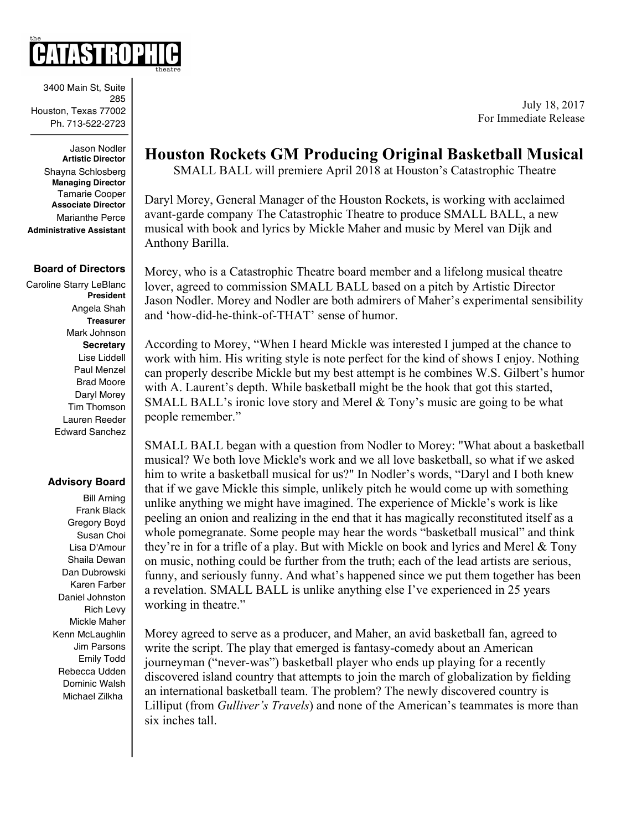3400 Main St, Suite 285 Houston, Texas 77002 Ph. 713-522-2723

Jason Nodler **Artistic Director** Shayna Schlosberg **Managing Director** Tamarie Cooper **Associate Director** Marianthe Perce **Administrative Assistant**

#### **Board of Directors**

Caroline Starry LeBlanc **President** Angela Shah **Treasurer** Mark Johnson **Secretary** Lise Liddell Paul Menzel Brad Moore Daryl Morey Tim Thomson Lauren Reeder Edward Sanchez

### **Advisory Board**

Bill Arning Frank Black Gregory Boyd Susan Choi Lisa D'Amour Shaila Dewan Dan Dubrowski Karen Farber Daniel Johnston Rich Levy Mickle Maher Kenn McLaughlin Jim Parsons Emily Todd Rebecca Udden Dominic Walsh Michael Zilkha

# **Houston Rockets GM Producing Original Basketball Musical**

SMALL BALL will premiere April 2018 at Houston's Catastrophic Theatre

Daryl Morey, General Manager of the Houston Rockets, is working with acclaimed avant-garde company The Catastrophic Theatre to produce SMALL BALL, a new musical with book and lyrics by Mickle Maher and music by Merel van Dijk and Anthony Barilla.

Morey, who is a Catastrophic Theatre board member and a lifelong musical theatre lover, agreed to commission SMALL BALL based on a pitch by Artistic Director Jason Nodler. Morey and Nodler are both admirers of Maher's experimental sensibility and 'how-did-he-think-of-THAT' sense of humor.

According to Morey, "When I heard Mickle was interested I jumped at the chance to work with him. His writing style is note perfect for the kind of shows I enjoy. Nothing can properly describe Mickle but my best attempt is he combines W.S. Gilbert's humor with A. Laurent's depth. While basketball might be the hook that got this started, SMALL BALL's ironic love story and Merel  $&$  Tony's music are going to be what people remember."

SMALL BALL began with a question from Nodler to Morey: "What about a basketball musical? We both love Mickle's work and we all love basketball, so what if we asked him to write a basketball musical for us?" In Nodler's words, "Daryl and I both knew that if we gave Mickle this simple, unlikely pitch he would come up with something unlike anything we might have imagined. The experience of Mickle's work is like peeling an onion and realizing in the end that it has magically reconstituted itself as a whole pomegranate. Some people may hear the words "basketball musical" and think they're in for a trifle of a play. But with Mickle on book and lyrics and Merel & Tony on music, nothing could be further from the truth; each of the lead artists are serious, funny, and seriously funny. And what's happened since we put them together has been a revelation. SMALL BALL is unlike anything else I've experienced in 25 years working in theatre."

Morey agreed to serve as a producer, and Maher, an avid basketball fan, agreed to write the script. The play that emerged is fantasy-comedy about an American journeyman ("never-was") basketball player who ends up playing for a recently discovered island country that attempts to join the march of globalization by fielding an international basketball team. The problem? The newly discovered country is Lilliput (from *Gulliver's Travels*) and none of the American's teammates is more than six inches tall.

July 18, 2017 For Immediate Release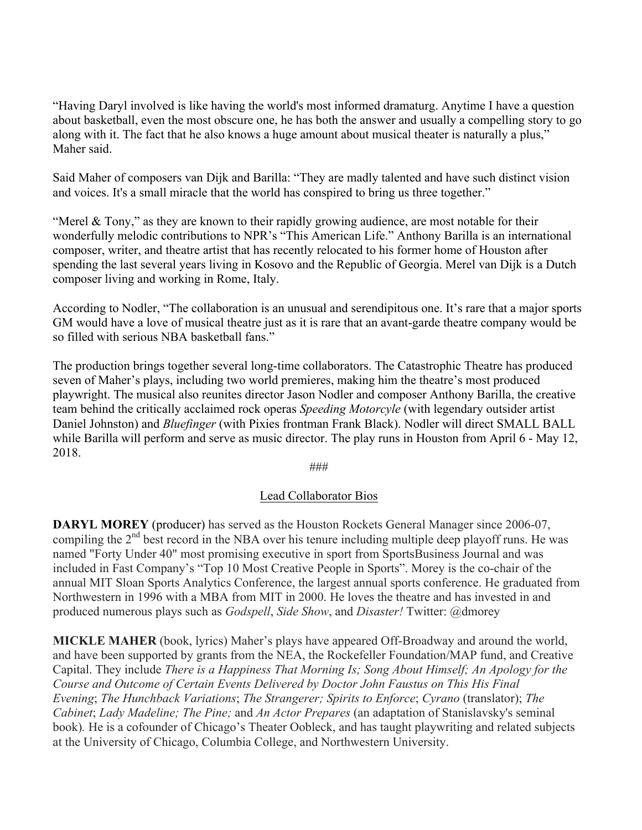"Having Daryl involved is like having the world's most informed dramaturg. Anytime I have a question about basketball, even the most obscure one, he has both the answer and usually a compelling story to go along with it. The fact that he also knows a huge amount about musical theater is naturally a plus," Maher said.

Said Maher of composers van Dijk and Barilla: "They are madly talented and have such distinct vision and voices. It's a small miracle that the world has conspired to bring us three together."

"Merel & Tony," as they are known to their rapidly growing audience, are most notable for their wonderfully melodic contributions to NPR's "This American Life." Anthony Barilla is an international composer, writer, and theatre artist that has recently relocated to his former home of Houston after spending the last several years living in Kosovo and the Republic of Georgia. Merel van Dijk is a Dutch composer living and working in Rome, Italy.

According to Nodler, "The collaboration is an unusual and serendipitous one. It's rare that a major sports GM would have a love of musical theatre just as it is rare that an avant-garde theatre company would be so filled with serious NBA basketball fans."

The production brings together several long-time collaborators. The Catastrophic Theatre has produced seven of Maher's plays, including two world premieres, making him the theatre's most produced playwright. The musical also reunites director Jason Nodler and composer Anthony Barilla, the creative team behind the critically acclaimed rock operas *Speeding Motorcyle* (with legendary outsider artist Daniel Johnston) and *Bluefinger* (with Pixies frontman Frank Black). Nodler will direct SMALL BALL while Barilla will perform and serve as music director. The play runs in Houston from April 6 - May 12, 2018.

###

## Lead Collaborator Bios

**DARYL MOREY** (producer) has served as the Houston Rockets General Manager since 2006-07, compiling the  $2<sup>nd</sup>$  best record in the NBA over his tenure including multiple deep playoff runs. He was named "Forty Under 40" most promising executive in sport from SportsBusiness Journal and was included in Fast Company's "Top 10 Most Creative People in Sports". Morey is the co-chair of the annual MIT Sloan Sports Analytics Conference, the largest annual sports conference. He graduated from Northwestern in 1996 with a MBA from MIT in 2000. He loves the theatre and has invested in and produced numerous plays such as *Godspell*, *Side Show*, and *Disaster!* Twitter: @dmorey

**MICKLE MAHER** (book, lyrics) Maher's plays have appeared Off-Broadway and around the world, and have been supported by grants from the NEA, the Rockefeller Foundation/MAP fund, and Creative Capital. They include *There is a Happiness That Morning Is; Song About Himself; An Apology for the Course and Outcome of Certain Events Delivered by Doctor John Faustus on This His Final Evening*; *The Hunchback Variations*; *The Strangerer; Spirits to Enforce*; *Cyrano* (translator); *The Cabinet*; *Lady Madeline; The Pine;* and *An Actor Prepares* (an adaptation of Stanislavsky's seminal book)*.* He is a cofounder of Chicago's Theater Oobleck, and has taught playwriting and related subjects at the University of Chicago, Columbia College, and Northwestern University.